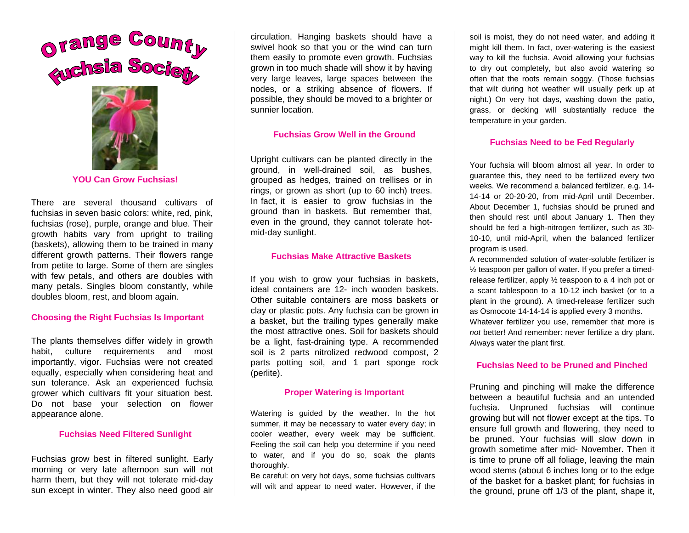

**YOU Can Grow Fuchsias!** 

There are several thousand cultivars of fuchsias in seven basic colors: white, red, pink, fuchsias (rose), purple, orange and blue. Their growth habits vary from upright to trailing (baskets), allowing them to be trained in many different growth patterns. Their flowers range from petite to large. Some of them are singles with few petals, and others are doubles with many petals. Singles bloom constantly, while doubles bloom, rest, and bloom again.

#### **Choosing the Right Fuchsias Is Important**

The plants themselves differ widely in growth habit, culture requirements and most importantly, vigor. Fuchsias were not created equally, especially when considering heat and sun tolerance. Ask an experienced fuchsia grower which cultivars fit your situation best. Do not base your selection on flower appearance alone.

### **Fuchsias Need Filtered Sunlight**

Fuchsias grow best in filtered sunlight. Early morning or very late afternoon sun will not harm them, but they will not tolerate mid-day sun except in winter. They also need good air

circulation. Hanging baskets should have a swivel hook so that you or the wind can turn them easily to promote even growth. Fuchsias grown in too much shade will show it by having very large leaves, large spaces between the nodes, or a striking absence of flowers. If possible, they should be moved to a brighter or sunnier location.

## **Fuchsias Grow Well in the Ground**

Upright cultivars can be planted directly in the ground, in well-drained soil, as bushes, grouped as hedges, trained on trellises or in rings, or grown as short (up to 60 inch) trees. In fact, it is easier to grow fuchsias in the ground than in baskets. But remember that, even in the ground, they cannot tolerate hotmid-day sunlight.

### **Fuchsias Make Attractive Baskets**

If you wish to grow your fuchsias in baskets, ideal containers are 12- inch wooden baskets. Other suitable containers are moss baskets or clay or plastic pots. Any fuchsia can be grown in a basket, but the trailing types generally make the most attractive ones. Soil for baskets should be a light, fast-draining type. A recommended soil is 2 parts nitrolized redwood compost, 2 parts potting soil, and 1 part sponge rock (perlite).

## **Proper Watering is Important**

Watering is guided by the weather. In the hot summer, it may be necessary to water every day; in cooler weather, every week may be sufficient. Feeling the soil can help you determine if you need to water, and if you do so, soak the plants thoroughly.

Be careful: on very hot days, some fuchsias cultivars will wilt and appear to need water. However, if the soil is moist, they do not need water, and adding it might kill them. In fact, over-watering is the easiest way to kill the fuchsia. Avoid allowing your fuchsias to dry out completely, but also avoid watering so often that the roots remain soggy. (Those fuchsias that wilt during hot weather will usually perk up at night.) On very hot days, washing down the patio, grass, or decking will substantially reduce the temperature in your garden.

#### **Fuchsias Need to be Fed Regularly**

Your fuchsia will bloom almost all year. In order to guarantee this, they need to be fertilized every two weeks. We recommend a balanced fertilizer, e.g. 14- 14-14 or 20-20-20, from mid-April until December. About December 1, fuchsias should be pruned and then should rest until about January 1. Then they should be fed a high-nitrogen fertilizer, such as 30- 10-10, until mid-April, when the balanced fertilizer program is used.

A recommended solution of water-soluble fertilizer is ½ teaspoon per gallon of water. If you prefer a timedrelease fertilizer, apply ½ teaspoon to a 4 inch pot or a scant tablespoon to a 10-12 inch basket (or to a plant in the ground). A timed-release fertilizer such as Osmocote 14-14-14 is applied every 3 months. Whatever fertilizer you use, remember that more is *not* better! And remember: never fertilize a dry plant. Always water the plant first.

## **Fuchsias Need to be Pruned and Pinched**

Pruning and pinching will make the difference between a beautiful fuchsia and an untended fuchsia. Unpruned fuchsias will continue growing but will not flower except at the tips. To ensure full growth and flowering, they need to be pruned. Your fuchsias will slow down in growth sometime after mid- November. Then it is time to prune off all foliage, leaving the main wood stems (about 6 inches long or to the edge of the basket for a basket plant; for fuchsias in the ground, prune off 1/3 of the plant, shape it,